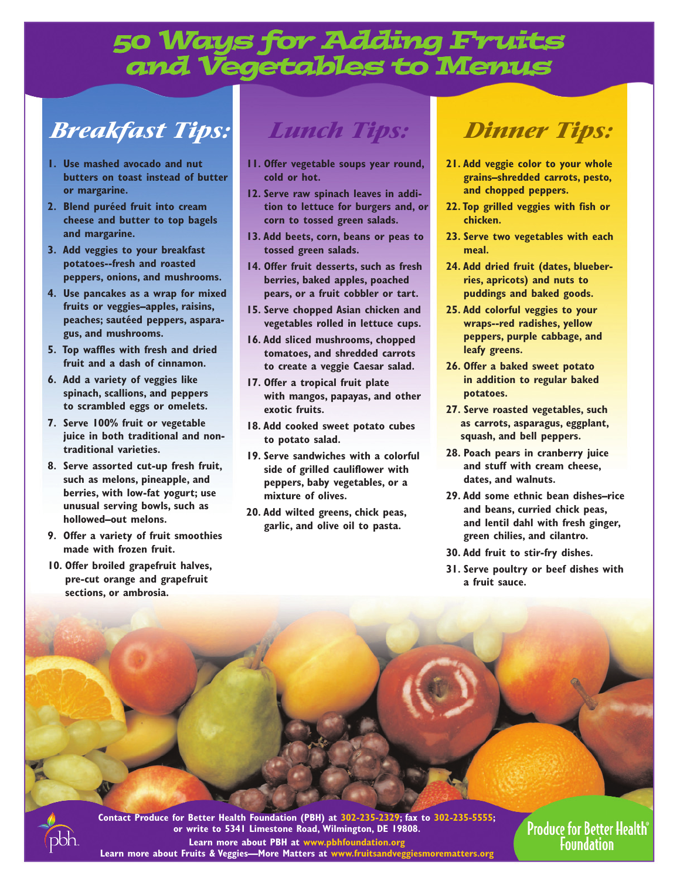## 50 Ways for Adding Fruits and Vegetables to Menus

# *Breakfast Tips:*

- **1. Use mashed avocado and nut butters on toast instead of butter or margarine.**
- **2. Blend puréed fruit into cream cheese and butter to top bagels and margarine.**
- **3. Add veggies to your breakfast potatoes--fresh and roasted peppers, onions, and mushrooms.**
- **4. Use pancakes as a wrap for mixed fruits or veggies–apples, raisins, peaches; sautéed peppers, asparagus, and mushrooms.**
- **5. Top waffles with fresh and dried fruit and a dash of cinnamon.**
- **6. Add a variety of veggies like spinach, scallions, and peppers to scrambled eggs or omelets.**
- **7. Serve 100% fruit or vegetable juice in both traditional and nontraditional varieties.**
- **8. Serve assorted cut-up fresh fruit, such as melons, pineapple, and berries, with low-fat yogurt; use unusual serving bowls, such as hollowed–out melons.**
- **9. Offer a variety of fruit smoothies made with frozen fruit.**
- **10. Offer broiled grapefruit halves, pre-cut orange and grapefruit sections, or ambrosia.**

### *Lunch Tips:*

- **11. Offer vegetable soups year round, cold or hot.**
- **12. Serve raw spinach leaves in addition to lettuce for burgers and, or corn to tossed green salads.**
- **13. Add beets, corn, beans or peas to tossed green salads.**
- **14. Offer fruit desserts, such as fresh berries, baked apples, poached pears, or a fruit cobbler or tart.**
- **15. Serve chopped Asian chicken and vegetables rolled in lettuce cups.**
- **16. Add sliced mushrooms, chopped tomatoes, and shredded carrots to create a veggie Caesar salad.**
- **17. Offer a tropical fruit plate with mangos, papayas, and other exotic fruits.**
- **18. Add cooked sweet potato cubes to potato salad.**
- **19. Serve sandwiches with a colorful side of grilled cauliflower with peppers, baby vegetables, or a mixture of olives.**
- **20. Add wilted greens, chick peas, garlic, and olive oil to pasta.**

# *Dinner Tips:*

- **21. Add veggie color to your whole grains–shredded carrots, pesto, and chopped peppers.**
- **22. Top grilled veggies with fish or chicken.**
- **23. Serve two vegetables with each meal.**
- **24. Add dried fruit (dates, blueberries, apricots) and nuts to puddings and baked goods.**
- **25. Add colorful veggies to your wraps--red radishes, yellow peppers, purple cabbage, and leafy greens.**
- **26. Offer a baked sweet potato in addition to regular baked potatoes.**
- **27. Serve roasted vegetables, such as carrots, asparagus, eggplant, squash, and bell peppers.**
- **28. Poach pears in cranberry juice and stuff with cream cheese, dates, and walnuts.**
- **29. Add some ethnic bean dishes–rice and beans, curried chick peas, and lentil dahl with fresh ginger, green chilies, and cilantro.**
- **30. Add fruit to stir-fry dishes.**
- **31. Serve poultry or beef dishes with a fruit sauce.**

**Contact Produce for Better Health Foundation (PBH) at 302-235-2329; fax to 302-235-5555; or write to 5341 Limestone Road, Wilmington, DE 19808. Learn more about PBH at www.pbhfoundation.org Learn more about Fruits & Veggies—More Matters at www.fruitsandveggiesmorematters.org**

**Produce for Better Health®** Foundation